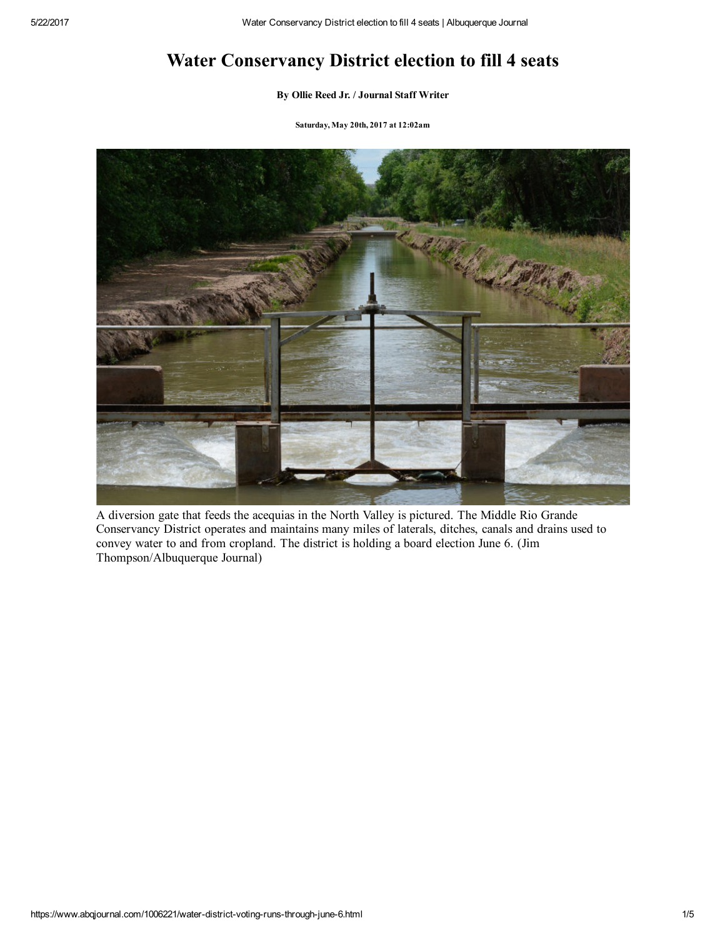# Water Conservancy District election to fill 4 seats

### By Ollie Reed Jr. / [Journal](https://www.abqjournal.com/author/oreed) Staff Writer

Saturday, May 20th, 2017 at 12:02am



A diversion gate that feeds the acequias in the North Valley is pictured. The Middle Rio Grande Conservancy District operates and maintains many miles of laterals, ditches, canals and drains used to convey water to and from cropland. The district is holding a board election June 6. (Jim Thompson/Albuquerque Journal)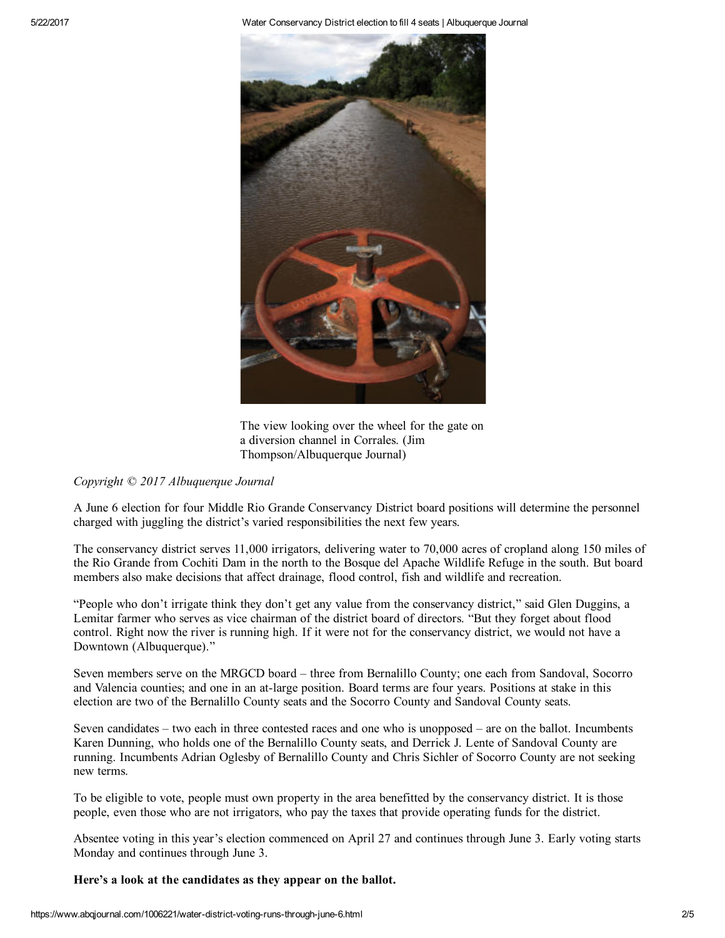5/22/2017 Water Conservancy District election to fill 4 seats | Albuquerque Journal



The view looking over the wheel for the gate on a diversion channel in Corrales. (Jim Thompson/Albuquerque Journal)

*Copyright © 2017 Albuquerque Journal*

A June 6 election for four Middle Rio Grande Conservancy District board positions will determine the personnel charged with juggling the district's varied responsibilities the next few years.

The conservancy district serves 11,000 irrigators, delivering water to 70,000 acres of cropland along 150 miles of the Rio Grande from Cochiti Dam in the north to the Bosque del Apache Wildlife Refuge in the south. But board members also make decisions that affect drainage, flood control, fish and wildlife and recreation.

"People who don't irrigate think they don't get any value from the conservancy district," said Glen Duggins, a Lemitar farmer who serves as vice chairman of the district board of directors. "But they forget about flood control. Right now the river is running high. If it were not for the conservancy district, we would not have a Downtown (Albuquerque)."

Seven members serve on the MRGCD board – three from Bernalillo County; one each from Sandoval, Socorro and Valencia counties; and one in an atlarge position. Board terms are four years. Positions at stake in this election are two of the Bernalillo County seats and the Socorro County and Sandoval County seats.

Seven candidates – two each in three contested races and one who is unopposed – are on the ballot. Incumbents Karen Dunning, who holds one of the Bernalillo County seats, and Derrick J. Lente of Sandoval County are running. Incumbents Adrian Oglesby of Bernalillo County and Chris Sichler of Socorro County are not seeking new terms.

To be eligible to vote, people must own property in the area benefitted by the conservancy district. It is those people, even those who are not irrigators, who pay the taxes that provide operating funds for the district.

Absentee voting in this year's election commenced on April 27 and continues through June 3. Early voting starts Monday and continues through June 3.

Here's a look at the candidates as they appear on the ballot.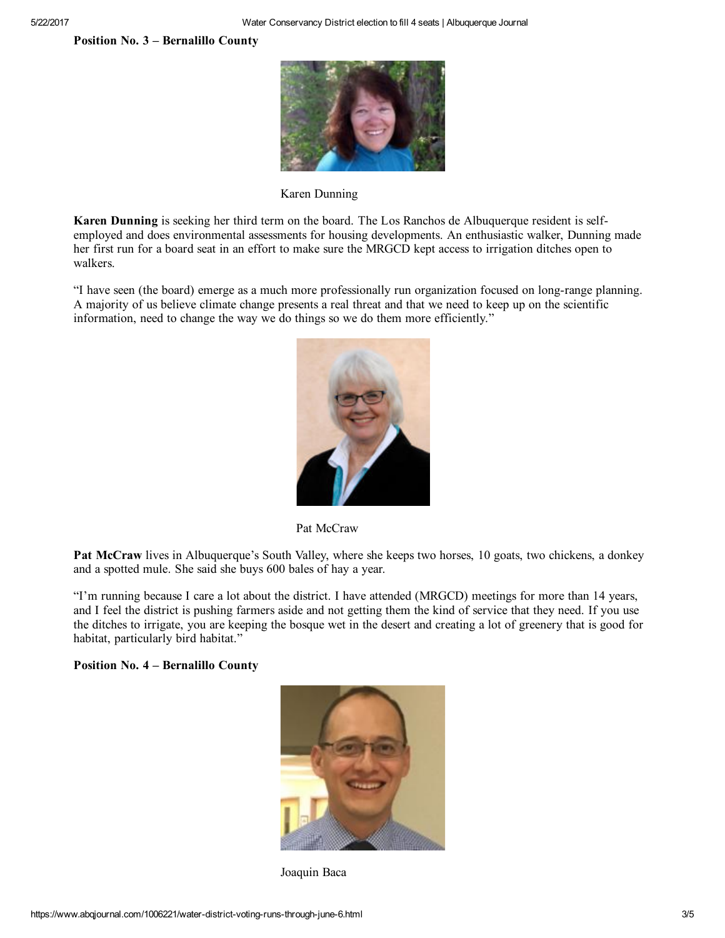Position No. 3 – Bernalillo County



Karen Dunning

Karen Dunning is seeking her third term on the board. The Los Ranchos de Albuquerque resident is selfemployed and does environmental assessments for housing developments. An enthusiastic walker, Dunning made her first run for a board seat in an effort to make sure the MRGCD kept access to irrigation ditches open to walkers.

"I have seen (the board) emerge as a much more professionally run organization focused on longrange planning. A majority of us believe climate change presents a real threat and that we need to keep up on the scientific information, need to change the way we do things so we do them more efficiently."



Pat McCraw

Pat McCraw lives in Albuquerque's South Valley, where she keeps two horses, 10 goats, two chickens, a donkey and a spotted mule. She said she buys 600 bales of hay a year.

"I'm running because I care a lot about the district. I have attended (MRGCD) meetings for more than 14 years, and I feel the district is pushing farmers aside and not getting them the kind of service that they need. If you use the ditches to irrigate, you are keeping the bosque wet in the desert and creating a lot of greenery that is good for habitat, particularly bird habitat."

## Position No. 4 – Bernalillo County



Joaquin Baca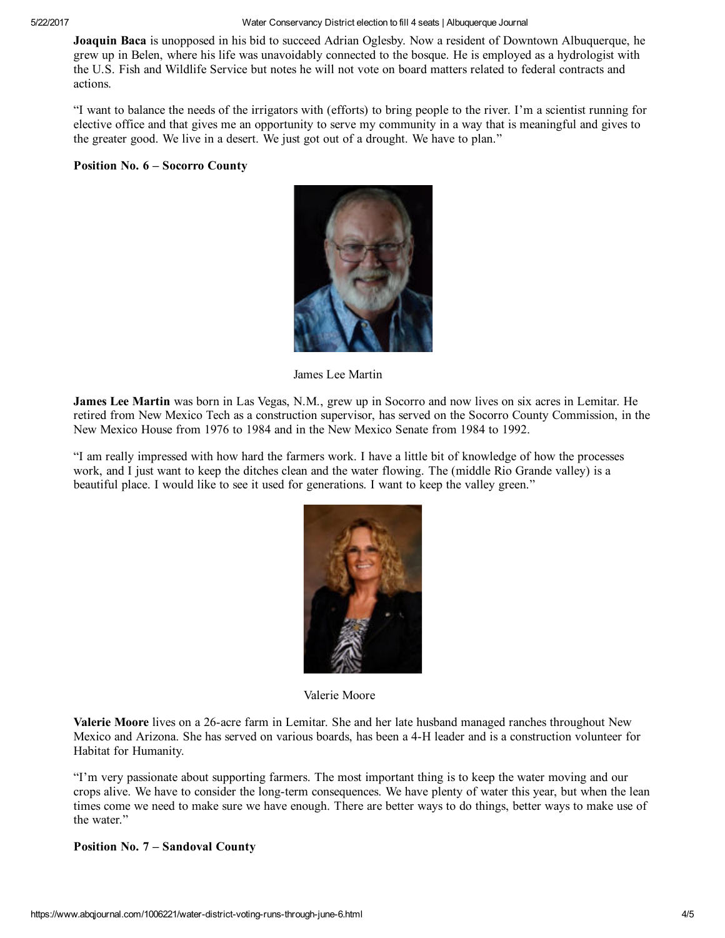5/22/2017 Water Conservancy District election to fill 4 seats | Albuquerque Journal

Joaquin Baca is unopposed in his bid to succeed Adrian Oglesby. Now a resident of Downtown Albuquerque, he grew up in Belen, where his life was unavoidably connected to the bosque. He is employed as a hydrologist with the U.S. Fish and Wildlife Service but notes he will not vote on board matters related to federal contracts and actions.

"I want to balance the needs of the irrigators with (efforts) to bring people to the river. I'm a scientist running for elective office and that gives me an opportunity to serve my community in a way that is meaningful and gives to the greater good. We live in a desert. We just got out of a drought. We have to plan."

## Position No. 6 – Socorro County



James Lee Martin

James Lee Martin was born in Las Vegas, N.M., grew up in Socorro and now lives on six acres in Lemitar. He retired from New Mexico Tech as a construction supervisor, has served on the Socorro County Commission, in the New Mexico House from 1976 to 1984 and in the New Mexico Senate from 1984 to 1992.

"I am really impressed with how hard the farmers work. I have a little bit of knowledge of how the processes work, and I just want to keep the ditches clean and the water flowing. The (middle Rio Grande valley) is a beautiful place. I would like to see it used for generations. I want to keep the valley green."



Valerie Moore

Valerie Moore lives on a 26-acre farm in Lemitar. She and her late husband managed ranches throughout New Mexico and Arizona. She has served on various boards, has been a 4H leader and is a construction volunteer for Habitat for Humanity.

"I'm very passionate about supporting farmers. The most important thing is to keep the water moving and our crops alive. We have to consider the long-term consequences. We have plenty of water this year, but when the lean times come we need to make sure we have enough. There are better ways to do things, better ways to make use of the water."

## Position No. 7 – Sandoval County